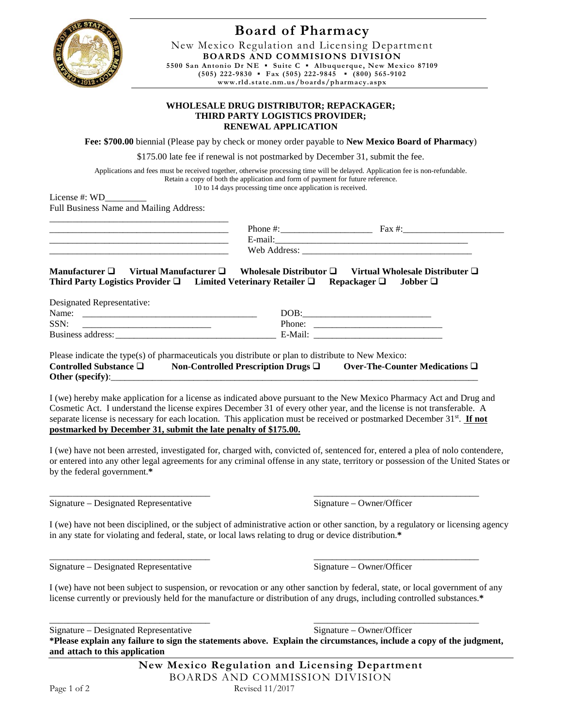

## **Board of Pharmacy**

New Mexico Regulation and Licensing Department **BOARDS AND COMMISIONS DIVISION 5500 San Antonio Dr NE ▪ Suite C ▪ Albuquerque, New Mexico 87109 (505) 222-9830 ▪ Fax (505) 222-9845 ▪ (800) 565-9102 www.rld.state.nm.us/boards/pharmacy.aspx**

## **WHOLESALE DRUG DISTRIBUTOR; REPACKAGER; THIRD PARTY LOGISTICS PROVIDER; RENEWAL APPLICATION**

**Fee: \$700.00** biennial (Please pay by check or money order payable to **New Mexico Board of Pharmacy**)

\$175.00 late fee if renewal is not postmarked by December 31, submit the fee.

Applications and fees must be received together, otherwise processing time will be delayed. Application fee is non-refundable. Retain a copy of both the application and form of payment for future reference. 10 to 14 days processing time once application is received.

License #: WD Full Business Name and Mailing Address:

| Phone<br>___                             | −<br>Fov. |  |
|------------------------------------------|-----------|--|
| $\triangle$ -mai'<br><b>E</b><br>_______ |           |  |
| $W_{\mathbf{P}}$<br>__                   |           |  |

**Manufacturer □ Virtual Manufacturer □ Wholesale Distributor □ Virtual Wholesale Distributer □ Third Party Logistics Provider Limited Veterinary Retailer Repackager Jobber** 

| Designated Representative: |         |
|----------------------------|---------|
| Name:                      | DOB:    |
| SSN:                       | Phone:  |
| Business address:          | E-Mail: |

Please indicate the type(s) of pharmaceuticals you distribute or plan to distribute to New Mexico: **Controlled Substance □** Non-Controlled Prescription Drugs □ Over-The-Counter Medications □ Other (specify):

I (we) hereby make application for a license as indicated above pursuant to the New Mexico Pharmacy Act and Drug and Cosmetic Act. I understand the license expires December 31 of every other year, and the license is not transferable. A separate license is necessary for each location. This application must be received or postmarked December 31<sup>st</sup>. **If not postmarked by December 31, submit the late penalty of \$175.00.**

I (we) have not been arrested, investigated for, charged with, convicted of, sentenced for, entered a plea of nolo contendere, or entered into any other legal agreements for any criminal offense in any state, territory or possession of the United States or by the federal government.**\***

Signature – Designated Representative Signature – Owner/Officer

\_\_\_\_\_\_\_\_\_\_\_\_\_\_\_\_\_\_\_\_\_\_\_\_\_\_\_\_\_\_\_\_\_\_\_ \_\_\_\_\_\_\_\_\_\_\_\_\_\_\_\_\_\_\_\_\_\_\_\_\_\_\_\_\_\_\_\_\_\_\_\_

I (we) have not been disciplined, or the subject of administrative action or other sanction, by a regulatory or licensing agency in any state for violating and federal, state, or local laws relating to drug or device distribution.**\***

\_\_\_\_\_\_\_\_\_\_\_\_\_\_\_\_\_\_\_\_\_\_\_\_\_\_\_\_\_\_\_\_\_\_\_ \_\_\_\_\_\_\_\_\_\_\_\_\_\_\_\_\_\_\_\_\_\_\_\_\_\_\_\_\_\_\_\_\_\_\_\_ Signature – Designated Representative Signature – Owner/Officer

I (we) have not been subject to suspension, or revocation or any other sanction by federal, state, or local government of any license currently or previously held for the manufacture or distribution of any drugs, including controlled substances.**\***

\_\_\_\_\_\_\_\_\_\_\_\_\_\_\_\_\_\_\_\_\_\_\_\_\_\_\_\_\_\_\_\_\_\_\_ \_\_\_\_\_\_\_\_\_\_\_\_\_\_\_\_\_\_\_\_\_\_\_\_\_\_\_\_\_\_\_\_\_\_\_\_ Signature – Designated Representative Signature – Owner/Officer

**\*Please explain any failure to sign the statements above. Explain the circumstances, include a copy of the judgment, and attach to this application**